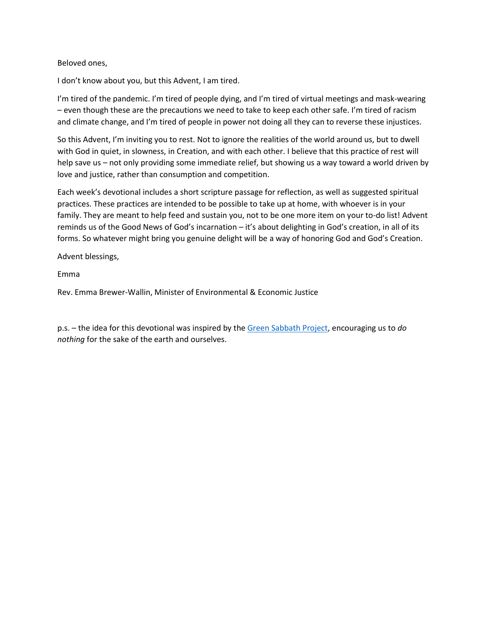## Beloved ones,

I don't know about you, but this Advent, I am tired.

I'm tired of the pandemic. I'm tired of people dying, and I'm tired of virtual meetings and mask-wearing – even though these are the precautions we need to take to keep each other safe. I'm tired of racism and climate change, and I'm tired of people in power not doing all they can to reverse these injustices.

So this Advent, I'm inviting you to rest. Not to ignore the realities of the world around us, but to dwell with God in quiet, in slowness, in Creation, and with each other. I believe that this practice of rest will help save us – not only providing some immediate relief, but showing us a way toward a world driven by love and justice, rather than consumption and competition.

Each week's devotional includes a short scripture passage for reflection, as well as suggested spiritual practices. These practices are intended to be possible to take up at home, with whoever is in your family. They are meant to help feed and sustain you, not to be one more item on your to-do list! Advent reminds us of the Good News of God's incarnation – it's about delighting in God's creation, in all of its forms. So whatever might bring you genuine delight will be a way of honoring God and God's Creation.

Advent blessings,

Emma

Rev. Emma Brewer-Wallin, Minister of Environmental & Economic Justice

p.s. – the idea for this devotional was inspired by th[e Green Sabbath Project,](https://www.greensabbathproject.net/) encouraging us to *do nothing* for the sake of the earth and ourselves.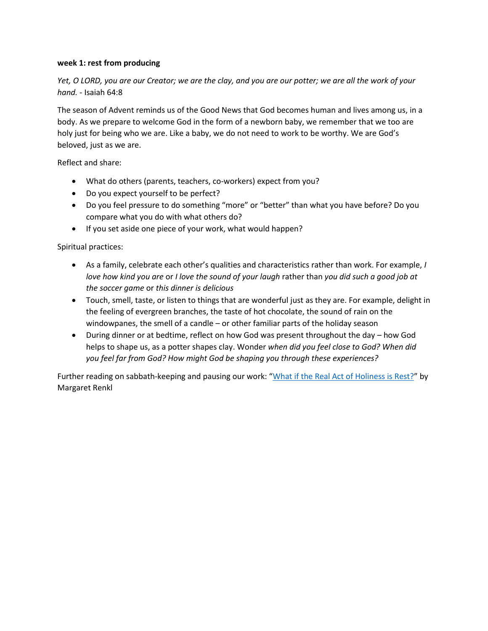## **week 1: rest from producing**

*Yet, O LORD, you are our Creator; we are the clay, and you are our potter; we are all the work of your hand.* - Isaiah 64:8

The season of Advent reminds us of the Good News that God becomes human and lives among us, in a body. As we prepare to welcome God in the form of a newborn baby, we remember that we too are holy just for being who we are. Like a baby, we do not need to work to be worthy. We are God's beloved, just as we are.

Reflect and share:

- What do others (parents, teachers, co-workers) expect from you?
- Do you expect yourself to be perfect?
- Do you feel pressure to do something "more" or "better" than what you have before? Do you compare what you do with what others do?
- If you set aside one piece of your work, what would happen?

Spiritual practices:

- As a family, celebrate each other's qualities and characteristics rather than work. For example, *I love how kind you are* or *I love the sound of your laugh* rather than *you did such a good job at the soccer game* or *this dinner is delicious*
- Touch, smell, taste, or listen to things that are wonderful just as they are. For example, delight in the feeling of evergreen branches, the taste of hot chocolate, the sound of rain on the windowpanes, the smell of a candle – or other familiar parts of the holiday season
- During dinner or at bedtime, reflect on how God was present throughout the day how God helps to shape us, as a potter shapes clay. Wonder *when did you feel close to God? When did you feel far from God? How might God be shaping you through these experiences?*

Further reading on sabbath-keeping and pausing our work: "[What if the Real Act of Holiness is](https://www.nytimes.com/2019/10/21/opinion/sabbath-day.html?action=click&module=Opinion&pgtype=Homepage) Rest?" by Margaret Renkl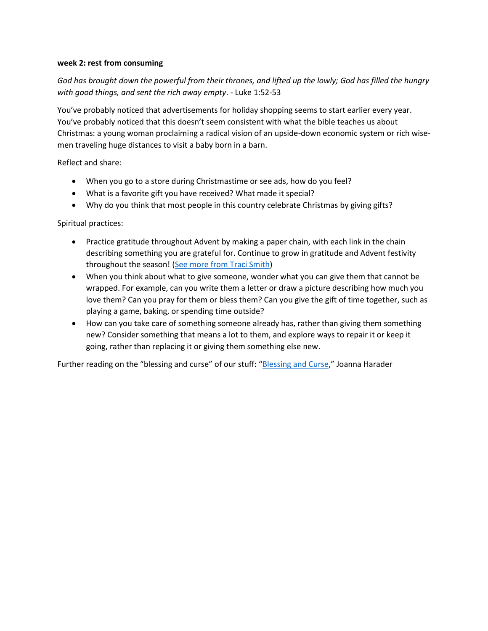### **week 2: rest from consuming**

# *God has brought down the powerful from their thrones, and lifted up the lowly; God has filled the hungry with good things, and sent the rich away empty*. - Luke 1:52-53

You've probably noticed that advertisements for holiday shopping seems to start earlier every year. You've probably noticed that this doesn't seem consistent with what the bible teaches us about Christmas: a young woman proclaiming a radical vision of an upside-down economic system or rich wisemen traveling huge distances to visit a baby born in a barn.

Reflect and share:

- When you go to a store during Christmastime or see ads, how do you feel?
- What is a favorite gift you have received? What made it special?
- Why do you think that most people in this country celebrate Christmas by giving gifts?

Spiritual practices:

- Practice gratitude throughout Advent by making a paper chain, with each link in the chain describing something you are grateful for. Continue to grow in gratitude and Advent festivity throughout the season! [\(See more from Traci Smith\)](https://traci-smith.com/advent-roundup-practices-books-activities-and-gifts-to-create-meaning-at-home/))
- When you think about what to give someone, wonder what you can give them that cannot be wrapped. For example, can you write them a letter or draw a picture describing how much you love them? Can you pray for them or bless them? Can you give the gift of time together, such as playing a game, baking, or spending time outside?
- How can you take care of something someone already has, rather than giving them something new? Consider something that means a lot to them, and explore ways to repair it or keep it going, rather than replacing it or giving them something else new.

Further reading on the "blessing and curse" of our stuff: "[Blessing and Curse,](https://practicingfamilies.com/2016/10/12/blessing-and-curse/)" Joanna Harader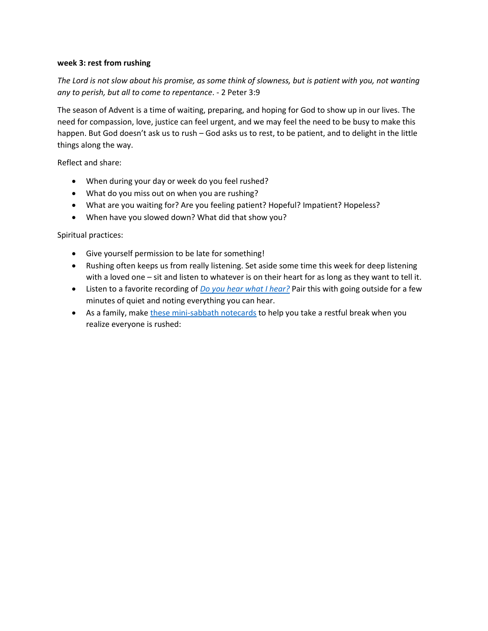### **week 3: rest from rushing**

*The Lord is not slow about his promise, as some think of slowness, but is patient with you, not wanting any to perish, but all to come to repentance*. - 2 Peter 3:9

The season of Advent is a time of waiting, preparing, and hoping for God to show up in our lives. The need for compassion, love, justice can feel urgent, and we may feel the need to be busy to make this happen. But God doesn't ask us to rush – God asks us to rest, to be patient, and to delight in the little things along the way.

Reflect and share:

- When during your day or week do you feel rushed?
- What do you miss out on when you are rushing?
- What are you waiting for? Are you feeling patient? Hopeful? Impatient? Hopeless?
- When have you slowed down? What did that show you?

Spiritual practices:

- Give yourself permission to be late for something!
- Rushing often keeps us from really listening. Set aside some time this week for deep listening with a loved one – sit and listen to whatever is on their heart for as long as they want to tell it.
- Listen to a favorite recording of *[Do you hear what I hear?](https://www.youtube.com/watch?v=3vVxXfA4BxE)* Pair this with going outside for a few minutes of quiet and noting everything you can hear.
- As a family, mak[e these mini-sabbath notecards](https://traci-smith.com/sabbath-notecards-helping-families-rest-spiritual-practice-faithfulfamilies/) to help you take a restful break when you realize everyone is rushed: